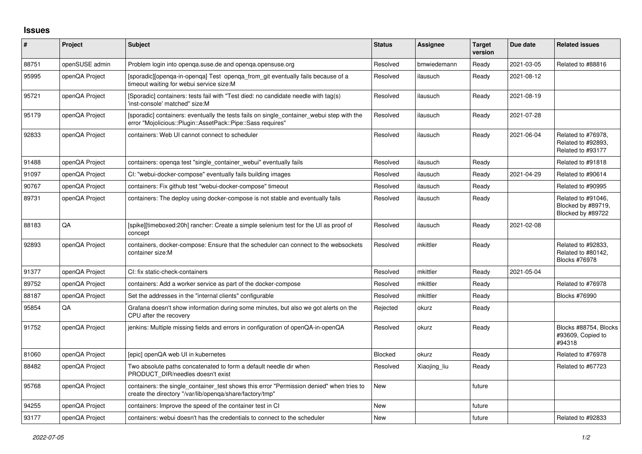## **Issues**

| #     | Project        | <b>Subject</b>                                                                                                                                           | <b>Status</b> | <b>Assignee</b> | <b>Target</b><br>version | Due date   | <b>Related issues</b>                                            |
|-------|----------------|----------------------------------------------------------------------------------------------------------------------------------------------------------|---------------|-----------------|--------------------------|------------|------------------------------------------------------------------|
| 88751 | openSUSE admin | Problem login into openga.suse.de and openga.opensuse.org                                                                                                | Resolved      | bmwiedemann     | Ready                    | 2021-03-05 | Related to #88816                                                |
| 95995 | openQA Project | [sporadic][openga-in-openga] Test openga from git eventually fails because of a<br>timeout waiting for webui service size:M                              | Resolved      | ilausuch        | Ready                    | 2021-08-12 |                                                                  |
| 95721 | openQA Project | [Sporadic] containers: tests fail with "Test died: no candidate needle with tag(s)<br>'inst-console' matched" size:M                                     | Resolved      | ilausuch        | Ready                    | 2021-08-19 |                                                                  |
| 95179 | openQA Project | [sporadic] containers: eventually the tests fails on single container webui step with the<br>error "Mojolicious::Plugin::AssetPack::Pipe::Sass requires" | Resolved      | ilausuch        | Ready                    | 2021-07-28 |                                                                  |
| 92833 | openQA Project | containers: Web UI cannot connect to scheduler                                                                                                           | Resolved      | ilausuch        | Ready                    | 2021-06-04 | Related to #76978,<br>Related to #92893,<br>Related to #93177    |
| 91488 | openQA Project | containers: openga test "single container webui" eventually fails                                                                                        | Resolved      | ilausuch        | Ready                    |            | Related to #91818                                                |
| 91097 | openQA Project | CI: "webui-docker-compose" eventually fails building images                                                                                              | Resolved      | ilausuch        | Ready                    | 2021-04-29 | Related to #90614                                                |
| 90767 | openQA Project | containers: Fix github test "webui-docker-compose" timeout                                                                                               | Resolved      | ilausuch        | Ready                    |            | Related to #90995                                                |
| 89731 | openQA Project | containers: The deploy using docker-compose is not stable and eventually fails                                                                           | Resolved      | ilausuch        | Ready                    |            | Related to #91046,<br>Blocked by #89719,<br>Blocked by #89722    |
| 88183 | QA             | [spike][timeboxed:20h] rancher: Create a simple selenium test for the UI as proof of<br>concept                                                          | Resolved      | ilausuch        | Ready                    | 2021-02-08 |                                                                  |
| 92893 | openQA Project | containers, docker-compose: Ensure that the scheduler can connect to the websockets<br>container size:M                                                  | Resolved      | mkittler        | Ready                    |            | Related to #92833,<br>Related to #80142,<br><b>Blocks #76978</b> |
| 91377 | openQA Project | CI: fix static-check-containers                                                                                                                          | Resolved      | mkittler        | Ready                    | 2021-05-04 |                                                                  |
| 89752 | openQA Project | containers: Add a worker service as part of the docker-compose                                                                                           | Resolved      | mkittler        | Ready                    |            | Related to #76978                                                |
| 88187 | openQA Project | Set the addresses in the "internal clients" configurable                                                                                                 | Resolved      | mkittler        | Ready                    |            | Blocks #76990                                                    |
| 95854 | QA             | Grafana doesn't show information during some minutes, but also we got alerts on the<br>CPU after the recovery                                            | Rejected      | okurz           | Ready                    |            |                                                                  |
| 91752 | openQA Project | jenkins: Multiple missing fields and errors in configuration of openQA-in-openQA                                                                         | Resolved      | okurz           | Ready                    |            | Blocks #88754, Blocks<br>#93609, Copied to<br>#94318             |
| 81060 | openQA Project | [epic] openQA web UI in kubernetes                                                                                                                       | Blocked       | okurz           | Ready                    |            | Related to #76978                                                |
| 88482 | openQA Project | Two absolute paths concatenated to form a default needle dir when<br>PRODUCT DIR/needles doesn't exist                                                   | Resolved      | Xiaojing_liu    | Ready                    |            | Related to #67723                                                |
| 95768 | openQA Project | containers: the single container test shows this error "Permission denied" when tries to<br>create the directory "/var/lib/openga/share/factory/tmp"     | <b>New</b>    |                 | future                   |            |                                                                  |
| 94255 | openQA Project | containers: Improve the speed of the container test in CI                                                                                                | <b>New</b>    |                 | future                   |            |                                                                  |
| 93177 | openQA Project | containers: webui doesn't has the credentials to connect to the scheduler                                                                                | New           |                 | future                   |            | Related to #92833                                                |